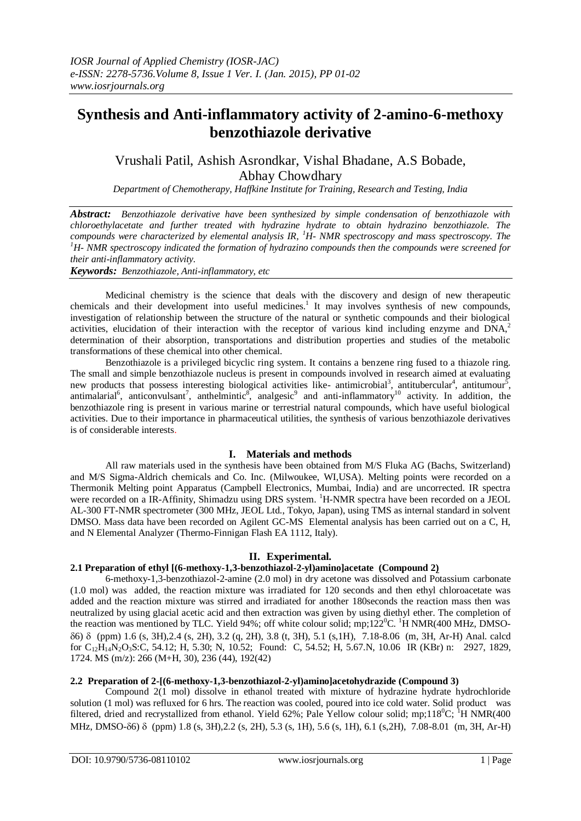# **Synthesis and Anti-inflammatory activity of 2-amino-6-methoxy benzothiazole derivative**

## Vrushali Patil, Ashish Asrondkar, Vishal Bhadane, A.S Bobade, Abhay Chowdhary

*Department of Chemotherapy, Haffkine Institute for Training, Research and Testing, India*

*Abstract: Benzothiazole derivative have been synthesized by simple condensation of benzothiazole with chloroethylacetate and further treated with hydrazine hydrate to obtain hydrazino benzothiazole. The compounds were characterized by elemental analysis IR, <sup>1</sup>H- NMR spectroscopy and mass spectroscopy. The <sup>1</sup>H- NMR spectroscopy indicated the formation of hydrazino compounds then the compounds were screened for their anti-inflammatory activity.*

*Keywords: Benzothiazole, Anti-inflammatory, etc*

Medicinal chemistry is the science that deals with the discovery and design of new therapeutic chemicals and their development into useful medicines.<sup>1</sup> It may involves synthesis of new compounds, investigation of relationship between the structure of the natural or synthetic compounds and their biological activities, elucidation of their interaction with the receptor of various kind including enzyme and DNA,<sup>2</sup> determination of their absorption, transportations and distribution properties and studies of the metabolic transformations of these chemical into other chemical.

Benzothiazole is a privileged bicyclic ring system. It contains a benzene ring fused to a thiazole ring. The small and simple benzothiazole nucleus is present in compounds involved in research aimed at evaluating new products that possess interesting biological activities like- antimicrobial<sup>3</sup>, antitubercular<sup>4</sup>, antitumour<sup>5</sup>, antimalarial<sup>6</sup>, anticonvulsant<sup>7</sup>, anthelmintic<sup>8</sup>, analgesic<sup>9</sup> and anti-inflammatory<sup>10</sup> activity. In addition, the benzothiazole ring is present in various marine or terrestrial natural compounds, which have useful biological activities. Due to their importance in pharmaceutical utilities, the synthesis of various benzothiazole derivatives is of considerable interests.

## **I. Materials and methods**

All raw materials used in the synthesis have been obtained from M/S Fluka AG (Bachs, Switzerland) and M/S Sigma-Aldrich chemicals and Co. Inc. (Milwoukee, WI,USA). Melting points were recorded on a Thermonik Melting point Apparatus (Campbell Electronics, Mumbai, India) and are uncorrected. IR spectra were recorded on a IR-Affinity, Shimadzu using DRS system. <sup>1</sup>H-NMR spectra have been recorded on a JEOL AL-300 FT-NMR spectrometer (300 MHz, JEOL Ltd., Tokyo, Japan), using TMS as internal standard in solvent DMSO. Mass data have been recorded on Agilent GC-MS Elemental analysis has been carried out on a C, H, and N Elemental Analyzer (Thermo-Finnigan Flash EA 1112, Italy).

## **II. Experimental.**

## **2.1 Preparation of ethyl [(6-methoxy-1,3-benzothiazol-2-yl)amino]acetate (Compound 2)**

6-methoxy-1,3-benzothiazol-2-amine (2.0 mol) in dry acetone was dissolved and Potassium carbonate (1.0 mol) was added, the reaction mixture was irradiated for 120 seconds and then ethyl chloroacetate was added and the reaction mixture was stirred and irradiated for another 180seconds the reaction mass then was neutralized by using glacial acetic acid and then extraction was given by using diethyl ether. The completion of the reaction was mentioned by TLC. Yield 94%; off white colour solid; mp;122<sup>0</sup>C. <sup>1</sup>H NMR(400 MHz, DMSO-6) (ppm) 1.6 (s, 3H),2.4 (s, 2H), 3.2 (q, 2H), 3.8 (t, 3H), 5.1 (s,1H), 7.18-8.06 (m, 3H, Ar-H) Anal. calcd for  $C_{12}H_{14}N_2O_3S$ :C, 54.12; H, 5.30; N, 10.52; Found: C, 54.52; H, 5.67.N, 10.06 IR (KBr) n: 2927, 1829, 1724. MS (m/z): 266 (M+H, 30), 236 (44), 192(42)

## **2.2 Preparation of 2-[(6-methoxy-1,3-benzothiazol-2-yl)amino]acetohydrazide (Compound 3)**

Compound 2(1 mol) dissolve in ethanol treated with mixture of hydrazine hydrate hydrochloride solution (1 mol) was refluxed for 6 hrs. The reaction was cooled, poured into ice cold water. Solid product was filtered, dried and recrystallized from ethanol. Yield 62%; Pale Yellow colour solid; mp;118<sup>0</sup>C; <sup>1</sup>H NMR(400) MHz, DMSO-δ6) δ (ppm) 1.8 (s, 3H), 2.2 (s, 2H), 5.3 (s, 1H), 5.6 (s, 1H), 6.1 (s, 2H), 7.08-8.01 (m, 3H, Ar-H)